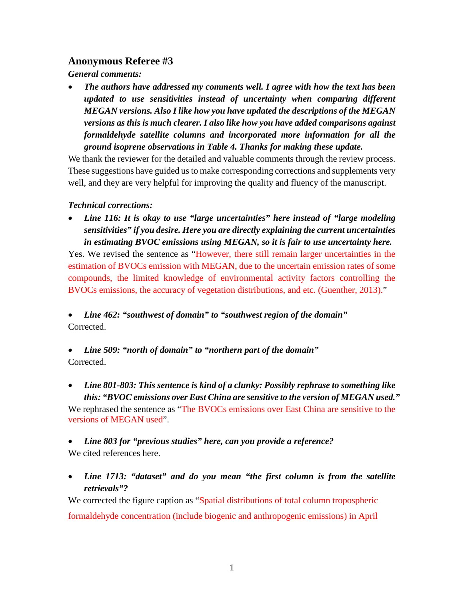## **Anonymous Referee #3**

*General comments:*

• *The authors have addressed my comments well. I agree with how the text has been updated to use sensitivities instead of uncertainty when comparing different MEGAN versions. Also I like how you have updated the descriptions of the MEGAN versions as this is much clearer. I also like how you have added comparisons against formaldehyde satellite columns and incorporated more information for all the ground isoprene observations in Table 4. Thanks for making these update.*

We thank the reviewer for the detailed and valuable comments through the review process. These suggestions have guided us to make corresponding corrections and supplements very well, and they are very helpful for improving the quality and fluency of the manuscript.

## *Technical corrections:*

• *Line 116: It is okay to use "large uncertainties" here instead of "large modeling sensitivities" if you desire. Here you are directly explaining the current uncertainties in estimating BVOC emissions using MEGAN, so it is fair to use uncertainty here.*

Yes. We revised the sentence as "However, there still remain larger uncertainties in the estimation of BVOCs emission with MEGAN, due to the uncertain emission rates of some compounds, the limited knowledge of environmental activity factors controlling the BVOCs emissions, the accuracy of vegetation distributions, and etc. (Guenther, 2013)."

• *Line 462: "southwest of domain" to "southwest region of the domain"* Corrected.

## • *Line 509: "north of domain" to "northern part of the domain"* Corrected.

• *Line 801-803: This sentence is kind of a clunky: Possibly rephrase to something like this: "BVOC emissions over East China are sensitive to the version of MEGAN used."* We rephrased the sentence as "The BVOCs emissions over East China are sensitive to the versions of MEGAN used".

• *Line 803 for "previous studies" here, can you provide a reference?* We cited references here.

• *Line 1713: "dataset" and do you mean "the first column is from the satellite retrievals"?*

We corrected the figure caption as "Spatial distributions of total column tropospheric formaldehyde concentration (include biogenic and anthropogenic emissions) in April